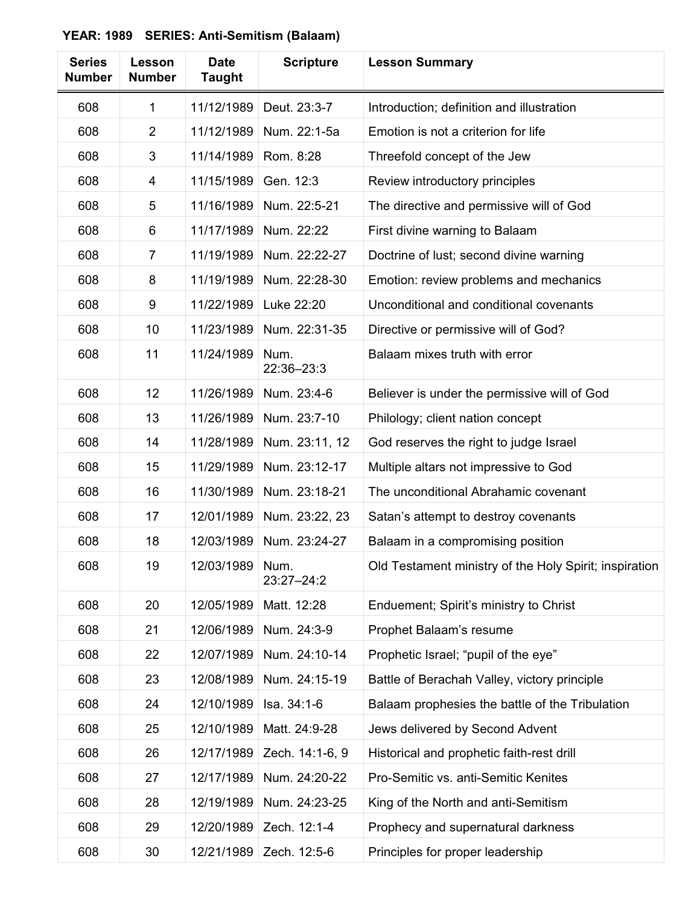| <b>Series</b><br><b>Number</b> | Lesson<br><b>Number</b> | <b>Date</b><br><b>Taught</b> | <b>Scripture</b>   | <b>Lesson Summary</b>                                  |
|--------------------------------|-------------------------|------------------------------|--------------------|--------------------------------------------------------|
| 608                            | 1                       | 11/12/1989                   | Deut. 23:3-7       | Introduction; definition and illustration              |
| 608                            | $\overline{2}$          | 11/12/1989                   | Num. 22:1-5a       | Emotion is not a criterion for life                    |
| 608                            | 3                       | 11/14/1989                   | Rom. 8:28          | Threefold concept of the Jew                           |
| 608                            | 4                       | 11/15/1989                   | Gen. 12:3          | Review introductory principles                         |
| 608                            | 5                       | 11/16/1989                   | Num. 22:5-21       | The directive and permissive will of God               |
| 608                            | 6                       | 11/17/1989                   | Num. 22:22         | First divine warning to Balaam                         |
| 608                            | $\overline{7}$          | 11/19/1989                   | Num. 22:22-27      | Doctrine of lust; second divine warning                |
| 608                            | 8                       | 11/19/1989                   | Num. 22:28-30      | Emotion: review problems and mechanics                 |
| 608                            | 9                       | 11/22/1989                   | Luke 22:20         | Unconditional and conditional covenants                |
| 608                            | 10                      | 11/23/1989                   | Num. 22:31-35      | Directive or permissive will of God?                   |
| 608                            | 11                      | 11/24/1989                   | Num.<br>22:36-23:3 | Balaam mixes truth with error                          |
| 608                            | 12                      | 11/26/1989                   | Num. 23:4-6        | Believer is under the permissive will of God           |
| 608                            | 13                      | 11/26/1989                   | Num. 23:7-10       | Philology; client nation concept                       |
| 608                            | 14                      | 11/28/1989                   | Num. 23:11, 12     | God reserves the right to judge Israel                 |
| 608                            | 15                      | 11/29/1989                   | Num. 23:12-17      | Multiple altars not impressive to God                  |
| 608                            | 16                      | 11/30/1989                   | Num. 23:18-21      | The unconditional Abrahamic covenant                   |
| 608                            | 17                      | 12/01/1989                   | Num. 23:22, 23     | Satan's attempt to destroy covenants                   |
| 608                            | 18                      | 12/03/1989                   | Num. 23:24-27      | Balaam in a compromising position                      |
| 608                            | 19                      | 12/03/1989                   | Num.<br>23:27-24:2 | Old Testament ministry of the Holy Spirit; inspiration |
| 608                            | 20                      | 12/05/1989                   | Matt. 12:28        | Enduement; Spirit's ministry to Christ                 |
| 608                            | 21                      | 12/06/1989                   | Num. 24:3-9        | Prophet Balaam's resume                                |
| 608                            | 22                      | 12/07/1989                   | Num. 24:10-14      | Prophetic Israel; "pupil of the eye"                   |
| 608                            | 23                      | 12/08/1989                   | Num. 24:15-19      | Battle of Berachah Valley, victory principle           |
| 608                            | 24                      | 12/10/1989                   | Isa. 34:1-6        | Balaam prophesies the battle of the Tribulation        |
| 608                            | 25                      | 12/10/1989                   | Matt. 24:9-28      | Jews delivered by Second Advent                        |
| 608                            | 26                      | 12/17/1989                   | Zech. 14:1-6, 9    | Historical and prophetic faith-rest drill              |
| 608                            | 27                      | 12/17/1989                   | Num. 24:20-22      | Pro-Semitic vs. anti-Semitic Kenites                   |
| 608                            | 28                      | 12/19/1989                   | Num. 24:23-25      | King of the North and anti-Semitism                    |
| 608                            | 29                      | 12/20/1989                   | Zech. 12:1-4       | Prophecy and supernatural darkness                     |
| 608                            | 30                      | 12/21/1989                   | Zech. 12:5-6       | Principles for proper leadership                       |

**YEAR: 1989 SERIES: Anti-Semitism (Balaam)**